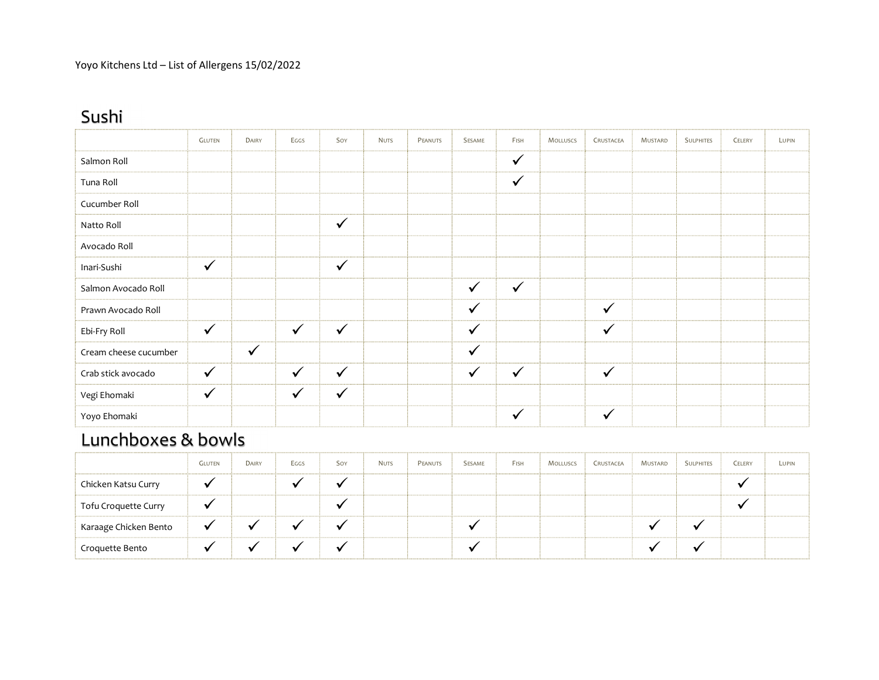# Sushi

|                       | <b>GLUTEN</b> | DAIRY        | EGGS         | Soy          | <b>NUTS</b> | PEANUTS | SESAME       | FISH         | <b>MOLLUSCS</b> | CRUSTACEA    | MUSTARD | <b>SULPHITES</b> | CELERY | LUPIN |
|-----------------------|---------------|--------------|--------------|--------------|-------------|---------|--------------|--------------|-----------------|--------------|---------|------------------|--------|-------|
| Salmon Roll           |               |              |              |              |             |         |              | $\checkmark$ |                 |              |         |                  |        |       |
| Tuna Roll             |               |              |              |              |             |         |              | $\checkmark$ |                 |              |         |                  |        |       |
| Cucumber Roll         |               |              |              |              |             |         |              |              |                 |              |         |                  |        |       |
| Natto Roll            |               |              |              | $\checkmark$ |             |         |              |              |                 |              |         |                  |        |       |
| Avocado Roll          |               |              |              |              |             |         |              |              |                 |              |         |                  |        |       |
| Inari-Sushi           | $\checkmark$  |              |              | $\checkmark$ |             |         |              |              |                 |              |         |                  |        |       |
| Salmon Avocado Roll   |               |              |              |              |             |         | $\checkmark$ | $\checkmark$ |                 |              |         |                  |        |       |
| Prawn Avocado Roll    |               |              |              |              |             |         | $\checkmark$ |              |                 | $\checkmark$ |         |                  |        |       |
| Ebi-Fry Roll          | $\checkmark$  |              | $\checkmark$ | $\checkmark$ |             |         | $\checkmark$ |              |                 | $\checkmark$ |         |                  |        |       |
| Cream cheese cucumber |               | $\checkmark$ |              |              |             |         | $\checkmark$ |              |                 |              |         |                  |        |       |
| Crab stick avocado    | $\checkmark$  |              | $\checkmark$ | $\checkmark$ |             |         | $\checkmark$ | $\checkmark$ |                 | $\checkmark$ |         |                  |        |       |
| Vegi Ehomaki          | $\checkmark$  |              | $\checkmark$ | $\checkmark$ |             |         |              |              |                 |              |         |                  |        |       |
| Yoyo Ehomaki          |               |              |              |              |             |         |              | $\checkmark$ |                 | ✓            |         |                  |        |       |

## Lunchboxes & bowls

|                       | <b>GLUTEN</b> | DAIRY | EGGS | Soy                  | <b>NUTS</b> | PEANUTS | SESAME | FISH | MOLLUSCS | CRUSTACEA | MUSTARD | <b>SULPHITES</b> | CELERY  | Lupin |
|-----------------------|---------------|-------|------|----------------------|-------------|---------|--------|------|----------|-----------|---------|------------------|---------|-------|
| Chicken Katsu Curry   | $\cdot$       |       |      | $\ddot{\phantom{0}}$ |             |         |        |      |          |           |         |                  | $\cdot$ |       |
| Tofu Croquette Curry  | $\cdot$       |       |      |                      |             |         |        |      |          |           |         |                  | $\cdot$ |       |
| Karaage Chicken Bento | $\bullet$     |       |      |                      |             |         | v      |      |          |           |         |                  |         |       |
| Croquette Bento       |               |       |      |                      |             |         | v      |      |          |           |         |                  |         |       |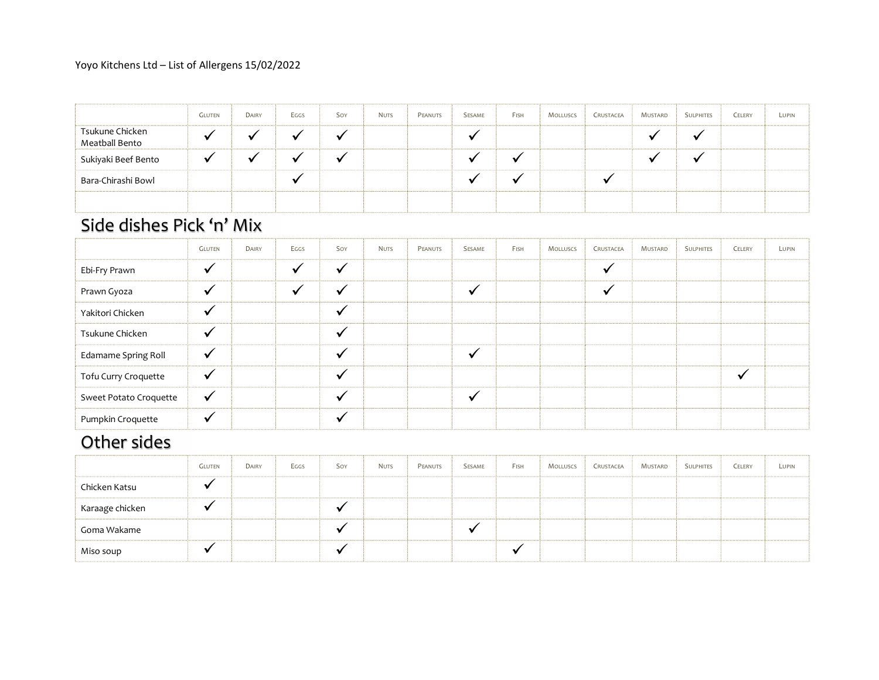### Yoyo Kitchens Ltd – List of Allergens 15/02/2022

|                                   | <b>GLUTEN</b> | DAIRY | Eggs      | Soy | <b>NUTS</b> | PEANUTS | SESAME               | FISH      | <b>MOLLUSCS</b> | CRUSTACEA | Mustard | <b>SULPHITES</b> | CELERY | LUPIN |
|-----------------------------------|---------------|-------|-----------|-----|-------------|---------|----------------------|-----------|-----------------|-----------|---------|------------------|--------|-------|
| Tsukune Chicken<br>Meatball Bento | $\bullet$     |       |           |     |             |         | ₩                    |           |                 |           |         |                  |        |       |
| Sukiyaki Beef Bento               | $\cdot$       |       | ٠.        |     |             |         | $\bullet$            | $\bullet$ |                 |           |         |                  |        |       |
| Bara-Chirashi Bowl                |               |       | $\bullet$ |     |             |         | $\ddot{\phantom{0}}$ | $\bullet$ |                 |           |         |                  |        |       |
|                                   |               |       |           |     |             |         |                      |           |                 |           |         |                  |        |       |

### Side dishes Pick 'n' Mix

|                        | <b>GLUTEN</b> | DAIRY | Eggs | Soy | <b>NUTS</b> | PEANUTS | SESAME  | FISH | <b>MOLLUSCS</b> | CRUSTACEA    | MUSTARD | <b>SULPHITES</b> | CELERY       | LUPIN |
|------------------------|---------------|-------|------|-----|-------------|---------|---------|------|-----------------|--------------|---------|------------------|--------------|-------|
| Ebi-Fry Prawn          | $\checkmark$  |       |      |     |             |         |         |      |                 | $\checkmark$ |         |                  |              |       |
| Prawn Gyoza            | $\mathbf v$   |       |      |     |             |         |         |      |                 | $\cdot$      |         |                  |              |       |
| Yakitori Chicken       | $\checkmark$  |       |      |     |             |         |         |      |                 |              |         |                  |              |       |
| Tsukune Chicken        | ✔             |       |      |     |             |         |         |      |                 |              |         |                  |              |       |
| Edamame Spring Roll    | $\checkmark$  |       |      |     |             |         |         |      |                 |              |         |                  |              |       |
| Tofu Curry Croquette   | $\checkmark$  |       |      |     |             |         |         |      |                 |              |         |                  | $\checkmark$ |       |
| Sweet Potato Croquette | $\checkmark$  |       |      |     |             |         | $\cdot$ |      |                 |              |         |                  |              |       |
| Pumpkin Croquette      | $\checkmark$  |       |      |     |             |         |         |      |                 |              |         |                  |              |       |

## Other sides

|                 | <b>GLUTEN</b> | DAIRY | Eggs | Soy                      | <b>NUTS</b> | PEANUTS | SESAME | FISH | <b>MOLLUSCS</b> | CRUSTACEA | MUSTARD | <b>SULPHITES</b> | CELERY | LUPIN |
|-----------------|---------------|-------|------|--------------------------|-------------|---------|--------|------|-----------------|-----------|---------|------------------|--------|-------|
| Chicken Katsu   |               |       |      |                          |             |         |        |      |                 |           |         |                  |        |       |
| Karaage chicken |               |       |      |                          |             |         |        |      |                 |           |         |                  |        |       |
| Goma Wakame     |               |       |      | $\sim$                   |             |         |        |      |                 |           |         |                  |        |       |
| Miso soup       |               |       |      | $\overline{\phantom{a}}$ |             |         |        |      |                 |           |         |                  |        |       |